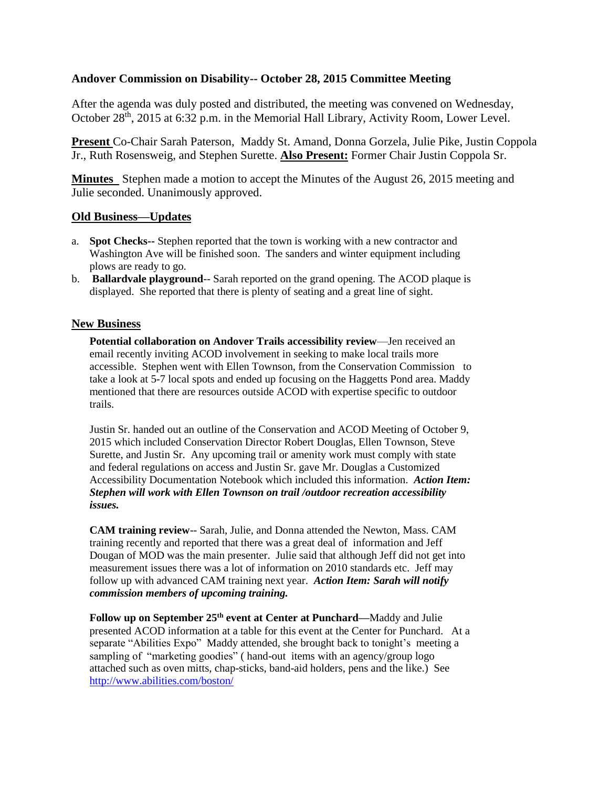## **Andover Commission on Disability-- October 28, 2015 Committee Meeting**

After the agenda was duly posted and distributed, the meeting was convened on Wednesday, October 28<sup>th</sup>, 2015 at 6:32 p.m. in the Memorial Hall Library, Activity Room, Lower Level.

**Present** Co-Chair Sarah Paterson, Maddy St. Amand, Donna Gorzela, Julie Pike, Justin Coppola Jr., Ruth Rosensweig, and Stephen Surette. **Also Present:** Former Chair Justin Coppola Sr.

**Minutes** Stephen made a motion to accept the Minutes of the August 26, 2015 meeting and Julie seconded. Unanimously approved.

## **Old Business—Updates**

- a. **Spot Checks--** Stephen reported that the town is working with a new contractor and Washington Ave will be finished soon. The sanders and winter equipment including plows are ready to go.
- b. **Ballardvale playground**-- Sarah reported on the grand opening. The ACOD plaque is displayed. She reported that there is plenty of seating and a great line of sight.

## **New Business**

**Potential collaboration on Andover Trails accessibility review**—Jen received an email recently inviting ACOD involvement in seeking to make local trails more accessible. Stephen went with Ellen Townson, from the Conservation Commission to take a look at 5-7 local spots and ended up focusing on the Haggetts Pond area. Maddy mentioned that there are resources outside ACOD with expertise specific to outdoor trails.

Justin Sr. handed out an outline of the Conservation and ACOD Meeting of October 9, 2015 which included Conservation Director Robert Douglas, Ellen Townson, Steve Surette, and Justin Sr. Any upcoming trail or amenity work must comply with state and federal regulations on access and Justin Sr. gave Mr. Douglas a Customized Accessibility Documentation Notebook which included this information. *Action Item: Stephen will work with Ellen Townson on trail /outdoor recreation accessibility issues.*

**CAM training review**-- Sarah, Julie, and Donna attended the Newton, Mass. CAM training recently and reported that there was a great deal of information and Jeff Dougan of MOD was the main presenter. Julie said that although Jeff did not get into measurement issues there was a lot of information on 2010 standards etc. Jeff may follow up with advanced CAM training next year. *Action Item: Sarah will notify commission members of upcoming training.*

**Follow up on September 25th event at Center at Punchard—**Maddy and Julie presented ACOD information at a table for this event at the Center for Punchard. At a separate "Abilities Expo" Maddy attended, she brought back to tonight's meeting a sampling of "marketing goodies" (hand-out items with an agency/group logo attached such as oven mitts, chap-sticks, band-aid holders, pens and the like.) See <http://www.abilities.com/boston/>